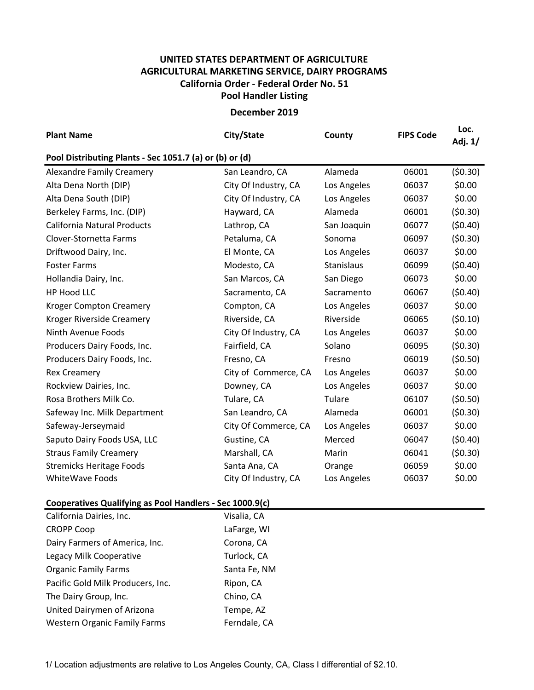## UNITED STATES DEPARTMENT OF AGRICULTURE AGRICULTURAL MARKETING SERVICE, DAIRY PROGRAMS Pool Handler Listing California Order - Federal Order No. 51

## December 2019

| <b>Plant Name</b>                                       | City/State           | County      | <b>FIPS Code</b> | Loc.<br>Adj. 1/ |  |  |  |  |  |  |
|---------------------------------------------------------|----------------------|-------------|------------------|-----------------|--|--|--|--|--|--|
| Pool Distributing Plants - Sec 1051.7 (a) or (b) or (d) |                      |             |                  |                 |  |  |  |  |  |  |
| <b>Alexandre Family Creamery</b>                        | San Leandro, CA      | Alameda     | 06001            | (50.30)         |  |  |  |  |  |  |
| Alta Dena North (DIP)                                   | City Of Industry, CA | Los Angeles | 06037            | \$0.00          |  |  |  |  |  |  |
| Alta Dena South (DIP)                                   | City Of Industry, CA | Los Angeles | 06037            | \$0.00          |  |  |  |  |  |  |
| Berkeley Farms, Inc. (DIP)                              | Hayward, CA          | Alameda     | 06001            | (50.30)         |  |  |  |  |  |  |
| California Natural Products                             | Lathrop, CA          | San Joaquin | 06077            | (50.40)         |  |  |  |  |  |  |
| Clover-Stornetta Farms                                  | Petaluma, CA         | Sonoma      | 06097            | (50.30)         |  |  |  |  |  |  |
| Driftwood Dairy, Inc.                                   | El Monte, CA         | Los Angeles | 06037            | \$0.00          |  |  |  |  |  |  |
| <b>Foster Farms</b>                                     | Modesto, CA          | Stanislaus  | 06099            | (50.40)         |  |  |  |  |  |  |
| Hollandia Dairy, Inc.                                   | San Marcos, CA       | San Diego   | 06073            | \$0.00          |  |  |  |  |  |  |
| HP Hood LLC                                             | Sacramento, CA       | Sacramento  | 06067            | (50.40)         |  |  |  |  |  |  |
| <b>Kroger Compton Creamery</b>                          | Compton, CA          | Los Angeles | 06037            | \$0.00          |  |  |  |  |  |  |
| Kroger Riverside Creamery                               | Riverside, CA        | Riverside   | 06065            | (50.10)         |  |  |  |  |  |  |
| Ninth Avenue Foods                                      | City Of Industry, CA | Los Angeles | 06037            | \$0.00          |  |  |  |  |  |  |
| Producers Dairy Foods, Inc.                             | Fairfield, CA        | Solano      | 06095            | (50.30)         |  |  |  |  |  |  |
| Producers Dairy Foods, Inc.                             | Fresno, CA           | Fresno      | 06019            | (50.50)         |  |  |  |  |  |  |
| <b>Rex Creamery</b>                                     | City of Commerce, CA | Los Angeles | 06037            | \$0.00          |  |  |  |  |  |  |
| Rockview Dairies, Inc.                                  | Downey, CA           | Los Angeles | 06037            | \$0.00          |  |  |  |  |  |  |
| Rosa Brothers Milk Co.                                  | Tulare, CA           | Tulare      | 06107            | (50.50)         |  |  |  |  |  |  |
| Safeway Inc. Milk Department                            | San Leandro, CA      | Alameda     | 06001            | (50.30)         |  |  |  |  |  |  |
| Safeway-Jerseymaid                                      | City Of Commerce, CA | Los Angeles | 06037            | \$0.00          |  |  |  |  |  |  |
| Saputo Dairy Foods USA, LLC                             | Gustine, CA          | Merced      | 06047            | (50.40)         |  |  |  |  |  |  |
| <b>Straus Family Creamery</b>                           | Marshall, CA         | Marin       | 06041            | (50.30)         |  |  |  |  |  |  |
| <b>Stremicks Heritage Foods</b>                         | Santa Ana, CA        | Orange      | 06059            | \$0.00          |  |  |  |  |  |  |
| <b>WhiteWave Foods</b>                                  | City Of Industry, CA | Los Angeles | 06037            | \$0.00          |  |  |  |  |  |  |

## Cooperatives Qualifying as Pool Handlers - Sec 1000.9(c)

| California Dairies, Inc.            | Visalia, CA  |
|-------------------------------------|--------------|
| <b>CROPP Coop</b>                   | LaFarge, WI  |
| Dairy Farmers of America, Inc.      | Corona, CA   |
| Legacy Milk Cooperative             | Turlock, CA  |
| <b>Organic Family Farms</b>         | Santa Fe, NM |
| Pacific Gold Milk Producers, Inc.   | Ripon, CA    |
| The Dairy Group, Inc.               | Chino, CA    |
| United Dairymen of Arizona          | Tempe, AZ    |
| <b>Western Organic Family Farms</b> | Ferndale, CA |

1/ Location adjustments are relative to Los Angeles County, CA, Class I differential of \$2.10.